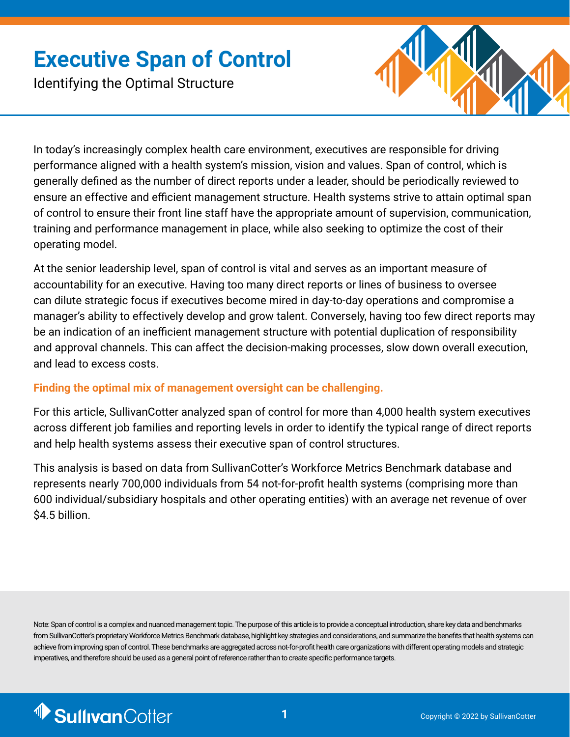# **Executive Span of Control**

Identifying the Optimal Structure



In today's increasingly complex health care environment, executives are responsible for driving performance aligned with a health system's mission, vision and values. Span of control, which is generally defined as the number of direct reports under a leader, should be periodically reviewed to ensure an effective and efficient management structure. Health systems strive to attain optimal span of control to ensure their front line staff have the appropriate amount of supervision, communication, training and performance management in place, while also seeking to optimize the cost of their operating model.

At the senior leadership level, span of control is vital and serves as an important measure of accountability for an executive. Having too many direct reports or lines of business to oversee can dilute strategic focus if executives become mired in day-to-day operations and compromise a manager's ability to effectively develop and grow talent. Conversely, having too few direct reports may be an indication of an inefficient management structure with potential duplication of responsibility and approval channels. This can affect the decision-making processes, slow down overall execution, and lead to excess costs.

#### **Finding the optimal mix of management oversight can be challenging.**

For this article, SullivanCotter analyzed span of control for more than 4,000 health system executives across different job families and reporting levels in order to identify the typical range of direct reports and help health systems assess their executive span of control structures.

This analysis is based on data from SullivanCotter's Workforce Metrics Benchmark database and represents nearly 700,000 individuals from 54 not-for-profit health systems (comprising more than 600 individual/subsidiary hospitals and other operating entities) with an average net revenue of over \$4.5 billion.

Note: Span of control is a complex and nuanced management topic. The purpose of this article is to provide a conceptual introduction, share key data and benchmarks from SullivanCotter's proprietary Workforce Metrics Benchmark database, highlight key strategies and considerations, and summarize the benefits that health systems can achieve from improving span of control. These benchmarks are aggregated across not-for-profit health care organizations with different operating models and strategic imperatives, and therefore should be used as a general point of reference rather than to create specific performance targets.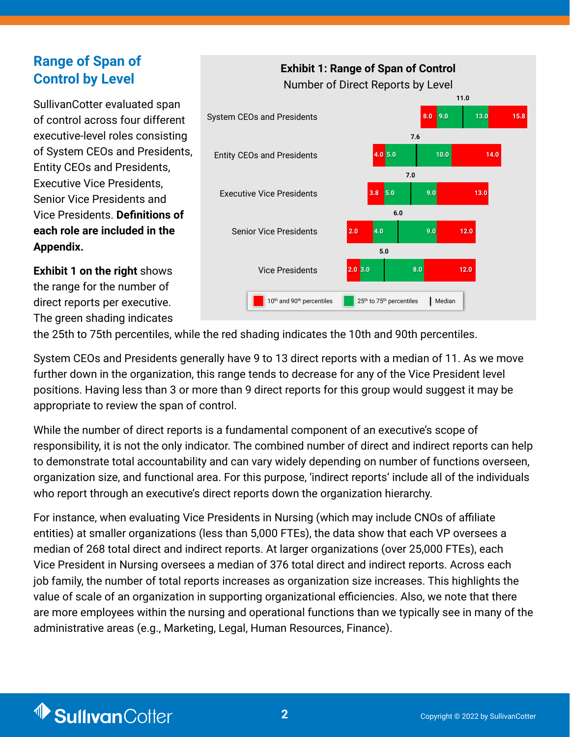## **Range of Span of Control by Level**

SullivanCotter evaluated span of control across four different executive-level roles consisting of System CEOs and Presidents, Entity CEOs and Presidents, Executive Vice Presidents, Senior Vice Presidents and Vice Presidents. **Definitions of each role are included in the Appendix.**

**Exhibit 1 on the right** shows the range for the number of direct reports per executive. The green shading indicates



the 25th to 75th percentiles, while the red shading indicates the 10th and 90th percentiles.

System CEOs and Presidents generally have 9 to 13 direct reports with a median of 11. As we move further down in the organization, this range tends to decrease for any of the Vice President level positions. Having less than 3 or more than 9 direct reports for this group would suggest it may be appropriate to review the span of control.

While the number of direct reports is a fundamental component of an executive's scope of responsibility, it is not the only indicator. The combined number of direct and indirect reports can help to demonstrate total accountability and can vary widely depending on number of functions overseen, organization size, and functional area. For this purpose, 'indirect reports' include all of the individuals who report through an executive's direct reports down the organization hierarchy.

For instance, when evaluating Vice Presidents in Nursing (which may include CNOs of affiliate entities) at smaller organizations (less than 5,000 FTEs), the data show that each VP oversees a median of 268 total direct and indirect reports. At larger organizations (over 25,000 FTEs), each Vice President in Nursing oversees a median of 376 total direct and indirect reports. Across each job family, the number of total reports increases as organization size increases. This highlights the value of scale of an organization in supporting organizational efficiencies. Also, we note that there are more employees within the nursing and operational functions than we typically see in many of the administrative areas (e.g., Marketing, Legal, Human Resources, Finance).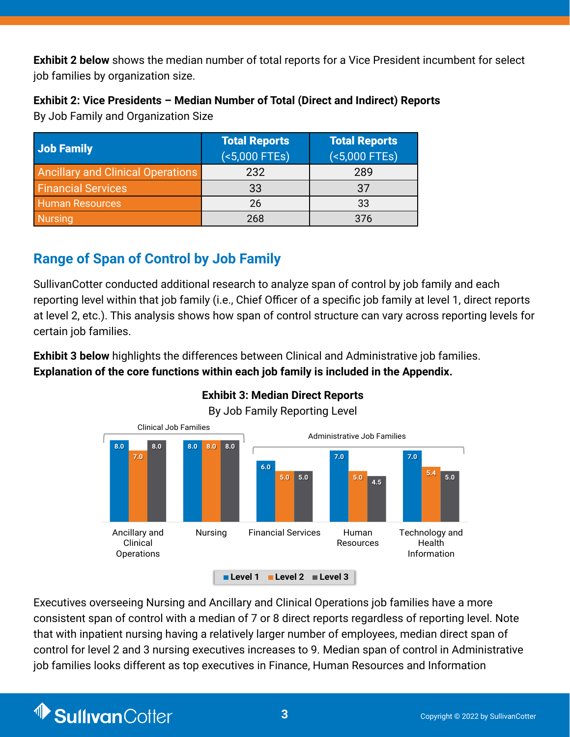**Exhibit 2 below** shows the median number of total reports for a Vice President incumbent for select job families by organization size.

**Exhibit 2: Vice Presidents – Median Number of Total (Direct and Indirect) Reports**  By Job Family and Organization Size

| Job Family                               | <b>Total Reports</b><br>$($ < 5,000 FTEs) | <b>Total Reports</b><br>$(5,000$ FTEs) |
|------------------------------------------|-------------------------------------------|----------------------------------------|
| <b>Ancillary and Clinical Operations</b> | 232                                       | 289                                    |
| <b>Financial Services</b>                | 33                                        | 37                                     |
| <b>Human Resources</b>                   | 26                                        | 33                                     |
| <b>Nursing</b>                           | 268                                       | 376                                    |

# **Range of Span of Control by Job Family**

SullivanCotter conducted additional research to analyze span of control by job family and each reporting level within that job family (i.e., Chief Officer of a specific job family at level 1, direct reports at level 2, etc.). This analysis shows how span of control structure can vary across reporting levels for certain job families.

**Exhibit 3 below** highlights the differences between Clinical and Administrative job families. **Explanation of the core functions within each job family is included in the Appendix.**



## **Median Direct Reports Exhibit 3: Median Direct Reports**

Job Family Reporting Level By Job Family Reporting Level

Executives overseeing Nursing and Ancillary and Clinical Operations job families have a more consistent span of control with a median of 7 or 8 direct reports regardless of reporting level. Note that with inpatient nursing having a relatively larger number of employees, median direct span of control for level 2 and 3 nursing executives increases to 9. Median span of control in Administrative job families looks different as top executives in Finance, Human Resources and Information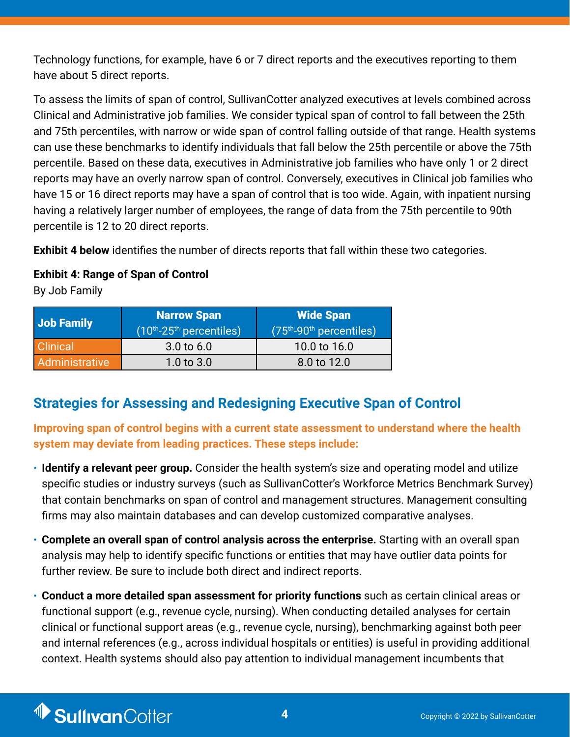Technology functions, for example, have 6 or 7 direct reports and the executives reporting to them have about 5 direct reports.

To assess the limits of span of control, SullivanCotter analyzed executives at levels combined across Clinical and Administrative job families. We consider typical span of control to fall between the 25th and 75th percentiles, with narrow or wide span of control falling outside of that range. Health systems can use these benchmarks to identify individuals that fall below the 25th percentile or above the 75th percentile. Based on these data, executives in Administrative job families who have only 1 or 2 direct reports may have an overly narrow span of control. Conversely, executives in Clinical job families who have 15 or 16 direct reports may have a span of control that is too wide. Again, with inpatient nursing having a relatively larger number of employees, the range of data from the 75th percentile to 90th percentile is 12 to 20 direct reports.

**Exhibit 4 below** identifies the number of directs reports that fall within these two categories.

#### **Exhibit 4: Range of Span of Control**

By Job Family

| Job Family      | <b>Narrow Span</b><br>$(10th-25th$ percentiles) | <b>Wide Span</b><br>$(75th-90th$ percentiles) |
|-----------------|-------------------------------------------------|-----------------------------------------------|
| <b>Clinical</b> | $3.0 \text{ to } 6.0$                           | 10.0 to 16.0                                  |
| Administrative  | 1.0 to $3.0$                                    | 8.0 to 12.0                                   |

## **Strategies for Assessing and Redesigning Executive Span of Control**

**Improving span of control begins with a current state assessment to understand where the health system may deviate from leading practices. These steps include:**

- **Identify a relevant peer group.** Consider the health system's size and operating model and utilize specific studies or industry surveys (such as SullivanCotter's Workforce Metrics Benchmark Survey) that contain benchmarks on span of control and management structures. Management consulting firms may also maintain databases and can develop customized comparative analyses.
- **Complete an overall span of control analysis across the enterprise.** Starting with an overall span analysis may help to identify specific functions or entities that may have outlier data points for further review. Be sure to include both direct and indirect reports.
- **Conduct a more detailed span assessment for priority functions** such as certain clinical areas or functional support (e.g., revenue cycle, nursing). When conducting detailed analyses for certain clinical or functional support areas (e.g., revenue cycle, nursing), benchmarking against both peer and internal references (e.g., across individual hospitals or entities) is useful in providing additional context. Health systems should also pay attention to individual management incumbents that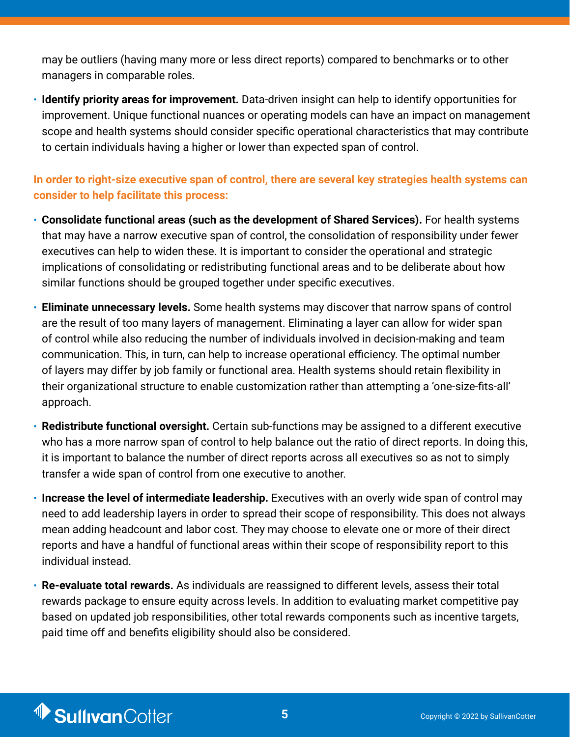may be outliers (having many more or less direct reports) compared to benchmarks or to other managers in comparable roles.

• **Identify priority areas for improvement.** Data-driven insight can help to identify opportunities for improvement. Unique functional nuances or operating models can have an impact on management scope and health systems should consider specific operational characteristics that may contribute to certain individuals having a higher or lower than expected span of control.

#### **In order to right-size executive span of control, there are several key strategies health systems can consider to help facilitate this process:**

- **Consolidate functional areas (such as the development of Shared Services).** For health systems that may have a narrow executive span of control, the consolidation of responsibility under fewer executives can help to widen these. It is important to consider the operational and strategic implications of consolidating or redistributing functional areas and to be deliberate about how similar functions should be grouped together under specific executives.
- **Eliminate unnecessary levels.** Some health systems may discover that narrow spans of control are the result of too many layers of management. Eliminating a layer can allow for wider span of control while also reducing the number of individuals involved in decision-making and team communication. This, in turn, can help to increase operational efficiency. The optimal number of layers may differ by job family or functional area. Health systems should retain flexibility in their organizational structure to enable customization rather than attempting a 'one-size-fits-all' approach.
- **Redistribute functional oversight.** Certain sub-functions may be assigned to a different executive who has a more narrow span of control to help balance out the ratio of direct reports. In doing this, it is important to balance the number of direct reports across all executives so as not to simply transfer a wide span of control from one executive to another.
- **Increase the level of intermediate leadership.** Executives with an overly wide span of control may need to add leadership layers in order to spread their scope of responsibility. This does not always mean adding headcount and labor cost. They may choose to elevate one or more of their direct reports and have a handful of functional areas within their scope of responsibility report to this individual instead.
- **Re-evaluate total rewards.** As individuals are reassigned to different levels, assess their total rewards package to ensure equity across levels. In addition to evaluating market competitive pay based on updated job responsibilities, other total rewards components such as incentive targets, paid time off and benefits eligibility should also be considered.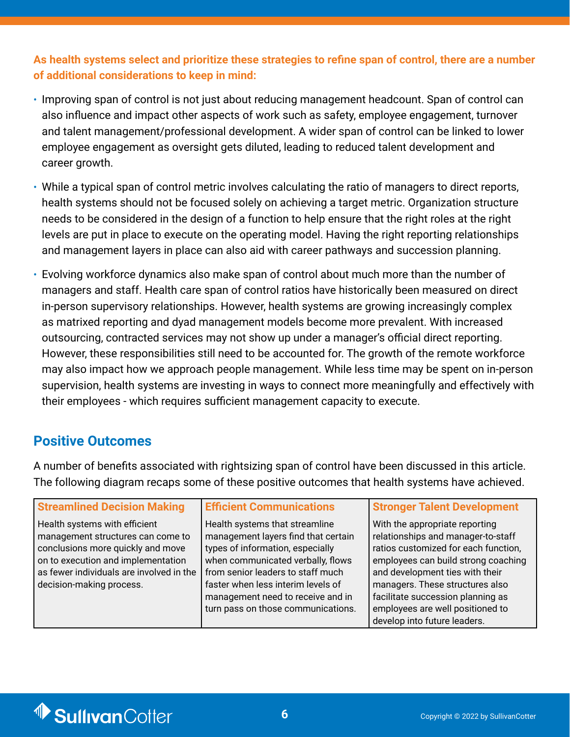**As health systems select and prioritize these strategies to refine span of control, there are a number of additional considerations to keep in mind:**

- Improving span of control is not just about reducing management headcount. Span of control can also influence and impact other aspects of work such as safety, employee engagement, turnover and talent management/professional development. A wider span of control can be linked to lower employee engagement as oversight gets diluted, leading to reduced talent development and career growth.
- While a typical span of control metric involves calculating the ratio of managers to direct reports, health systems should not be focused solely on achieving a target metric. Organization structure needs to be considered in the design of a function to help ensure that the right roles at the right levels are put in place to execute on the operating model. Having the right reporting relationships and management layers in place can also aid with career pathways and succession planning.
- Evolving workforce dynamics also make span of control about much more than the number of managers and staff. Health care span of control ratios have historically been measured on direct in-person supervisory relationships. However, health systems are growing increasingly complex as matrixed reporting and dyad management models become more prevalent. With increased outsourcing, contracted services may not show up under a manager's official direct reporting. However, these responsibilities still need to be accounted for. The growth of the remote workforce may also impact how we approach people management. While less time may be spent on in-person supervision, health systems are investing in ways to connect more meaningfully and effectively with their employees - which requires sufficient management capacity to execute.

### **Positive Outcomes**

A number of benefits associated with rightsizing span of control have been discussed in this article. The following diagram recaps some of these positive outcomes that health systems have achieved.

| <b>Streamlined Decision Making</b>                                                                                                                                                                                    | <b>Efficient Communications</b>                                                                                                                                                                                                                                                                      | <b>Stronger Talent Development</b>                                                                                                                                                                                                                                                                                                 |
|-----------------------------------------------------------------------------------------------------------------------------------------------------------------------------------------------------------------------|------------------------------------------------------------------------------------------------------------------------------------------------------------------------------------------------------------------------------------------------------------------------------------------------------|------------------------------------------------------------------------------------------------------------------------------------------------------------------------------------------------------------------------------------------------------------------------------------------------------------------------------------|
| Health systems with efficient<br>management structures can come to<br>conclusions more quickly and move<br>on to execution and implementation<br>as fewer individuals are involved in the<br>decision-making process. | Health systems that streamline<br>management layers find that certain<br>types of information, especially<br>when communicated verbally, flows<br>from senior leaders to staff much<br>faster when less interim levels of<br>management need to receive and in<br>turn pass on those communications. | With the appropriate reporting<br>relationships and manager-to-staff<br>ratios customized for each function,<br>employees can build strong coaching<br>and development ties with their<br>managers. These structures also<br>facilitate succession planning as<br>employees are well positioned to<br>develop into future leaders. |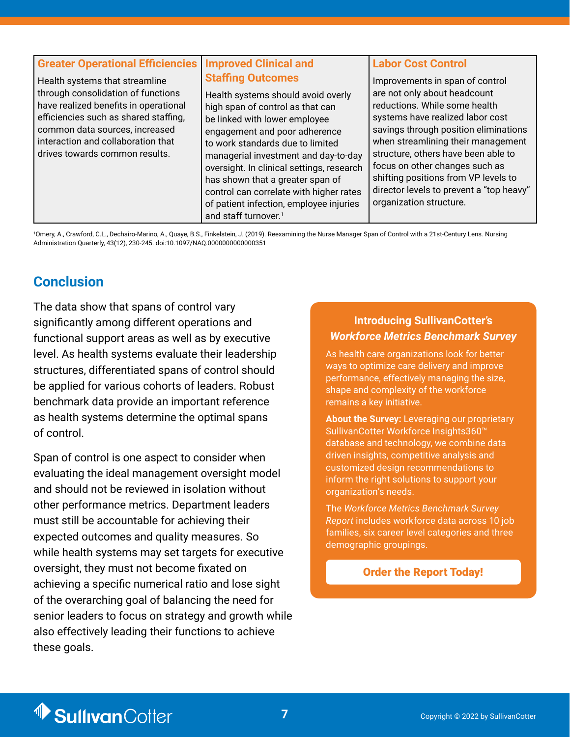| <b>Greater Operational Efficiencies   Improved Clinical and</b><br>Health systems that streamline<br>through consolidation of functions<br>have realized benefits in operational<br>efficiencies such as shared staffing,<br>common data sources, increased<br>interaction and collaboration that<br>drives towards common results. | <b>Staffing Outcomes</b><br>Health systems should avoid overly<br>high span of control as that can<br>be linked with lower employee<br>engagement and poor adherence<br>to work standards due to limited<br>managerial investment and day-to-day<br>oversight. In clinical settings, research<br>has shown that a greater span of<br>control can correlate with higher rates<br>of patient infection, employee injuries<br>and staff turnover. <sup>1</sup> | <b>Labor Cost Control</b><br>Improvements in span of control<br>are not only about headcount<br>reductions. While some health<br>systems have realized labor cost<br>savings through position eliminations<br>when streamlining their management<br>structure, others have been able to<br>focus on other changes such as<br>shifting positions from VP levels to<br>director levels to prevent a "top heavy"<br>organization structure. |
|-------------------------------------------------------------------------------------------------------------------------------------------------------------------------------------------------------------------------------------------------------------------------------------------------------------------------------------|-------------------------------------------------------------------------------------------------------------------------------------------------------------------------------------------------------------------------------------------------------------------------------------------------------------------------------------------------------------------------------------------------------------------------------------------------------------|------------------------------------------------------------------------------------------------------------------------------------------------------------------------------------------------------------------------------------------------------------------------------------------------------------------------------------------------------------------------------------------------------------------------------------------|
|-------------------------------------------------------------------------------------------------------------------------------------------------------------------------------------------------------------------------------------------------------------------------------------------------------------------------------------|-------------------------------------------------------------------------------------------------------------------------------------------------------------------------------------------------------------------------------------------------------------------------------------------------------------------------------------------------------------------------------------------------------------------------------------------------------------|------------------------------------------------------------------------------------------------------------------------------------------------------------------------------------------------------------------------------------------------------------------------------------------------------------------------------------------------------------------------------------------------------------------------------------------|

1 Omery, A., Crawford, C.L., Dechairo-Marino, A., Quaye, B.S., Finkelstein, J. (2019). Reexamining the Nurse Manager Span of Control with a 21st-Century Lens. Nursing Administration Quarterly, 43(12), 230-245. doi:10.1097/NAQ.0000000000000351

## **Conclusion**

The data show that spans of control vary significantly among different operations and functional support areas as well as by executive level. As health systems evaluate their leadership structures, differentiated spans of control should be applied for various cohorts of leaders. Robust benchmark data provide an important reference as health systems determine the optimal spans of control.

Span of control is one aspect to consider when evaluating the ideal management oversight model and should not be reviewed in isolation without other performance metrics. Department leaders must still be accountable for achieving their expected outcomes and quality measures. So while health systems may set targets for executive oversight, they must not become fixated on achieving a specific numerical ratio and lose sight of the overarching goal of balancing the need for senior leaders to focus on strategy and growth while also effectively leading their functions to achieve these goals.

#### **Introducing SullivanCotter's**  *Workforce Metrics Benchmark Survey*

As health care organizations look for better ways to optimize care delivery and improve performance, effectively managing the size, shape and complexity of the workforce remains a key initiative.

**About the Survey:** Leveraging our proprietary SullivanCotter Workforce Insights360™ database and technology, we combine data driven insights, competitive analysis and customized design recommendations to inform the right solutions to support your organization's needs.

The *Workforce Metrics Benchmark Survey Report* includes workforce data across 10 job families, six career level categories and three demographic groupings.

#### [Order the Report Today!](https://sullivancotter.com/surveys/workforce-metrics-benchmark-survey/)